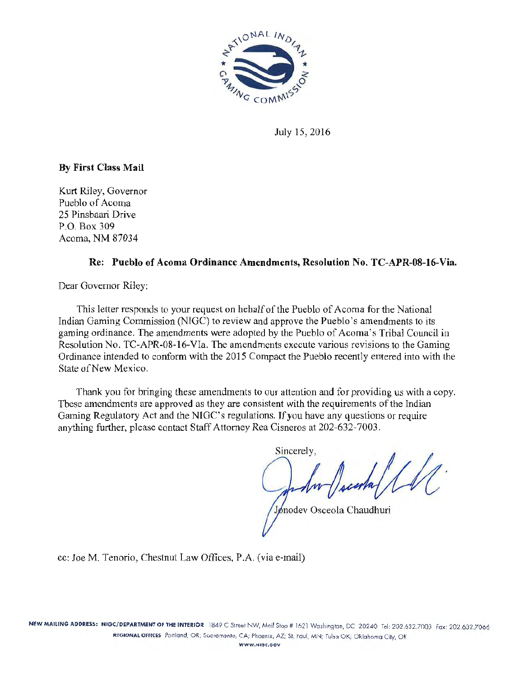

July 15, 2016

## By First Class Mail

Kurt Riley, Governor Pueblo of Acoma 25 Pinsbaari Drive P.O. Box 309 Acoma, NM 87034

### Re: Pueblo of Acoma Ordinance Amendments, Resolution No. TC-APR-08-16-Via.

Dear Governor Riley:

This letter responds to yom request on behalf of the Pueblo of Acoma for the National Indian Gaming Commission (NTGC) to review and approve the Pueblo's amendments to its gaming ordinance. The amendments were adopted by the Pueblo of Acoma's Tribal Council in Resolution No. TC-APR-08-16-Vla. The amendments execute various revisions to the Gaming Ordinance intended to conform with the 2015 Compact the Pueblo recently entered into with the State of New Mexico.

Thank you for bringing these amendments to our attention and for providing us with a copy. These amendments are approved as they are consistent with the requirements of the Indian Gaming Regulatory Act and the NIGC's regulations. If you have any questions or require anything further, please contact Staff Attorney Rea Cisneros at 202-632-7003.

Sincerely,

pnodev Osceola Chaudhuri

cc: Joe M. Tenorio, Chestnut Law Offices, P.A. (via e-mail)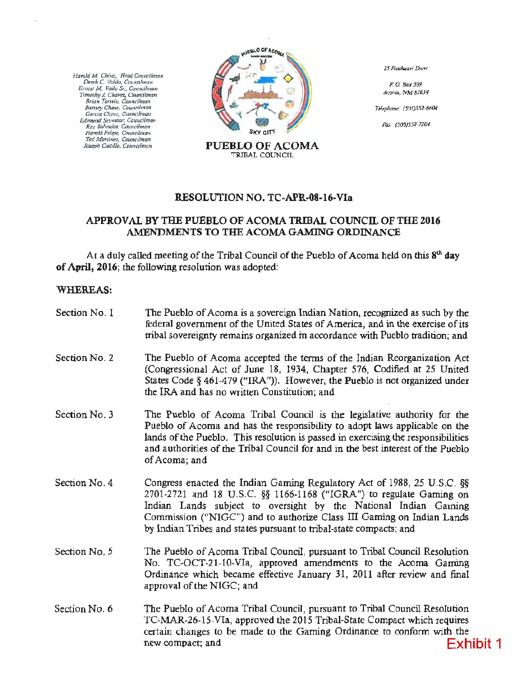*J/an'Jld M* C/riuo, *H;od Co1111dlma11*  Dm:k C *V11/cfo,* Co11r1afm<111 *Emcst M. Vc1/lo* S.:, *Couucilmtm Timothy* J. *Chavtz, Councilman Brian Torwio, Councilman<br>Barney Chino, Councilman<br>Garcia Chino, Councilman Edmund Sc;•mour, Co1m<ilma11 Rr.x Salvatior, Ccu11dlman Harold Felipe, Ctr1mcilma11 Tfd Mortillez, Couimlmon* 



*25 Pi11sboan' Driw* 

*P. 0.* Box 309 Aro111a, *NM 87034* 

Telephone: (505)552-6604

*Ftv:· (505)552-7204* 

#### RESOLUfION NO. TC-APR-08-16-Vla

#### APPROVAL BY THE PUEBLO OF ACOMA TRIBAL COUNCIL OF THE 2016 AMENDMENTS TO THE ACOMA GAMJNG ORDINANCE

At a duly called meeting of the Tribal Council of the Pueblo of Acoma held on this  $8<sup>th</sup>$  day of April, 2016; the following resolution was adopted:

#### WHEREAS:

| Section No. 1 | The Pueblo of Acoma is a sovereign Indian Nation, recognized as such by the<br>federal government of the United States of America, and in the exercise of its<br>tribal sovereignty remains organized in accordance with Pueblo tradition; and                                                                                                                   |
|---------------|------------------------------------------------------------------------------------------------------------------------------------------------------------------------------------------------------------------------------------------------------------------------------------------------------------------------------------------------------------------|
| Section No. 2 | The Pueblo of Acoma accepted the terms of the Indian Reorganization Act<br>(Congressional Act of June 18, 1934, Chapter 576, Codified at 25 United<br>States Code $\S$ 461-479 ("IRA")). However, the Pueblo is not organized under<br>the IRA and has no written Constitution; and                                                                              |
| Section No. 3 | The Pueblo of Acoma Tribal Council is the legislative authority for the<br>Pueblo of Acoma and has the responsibility to adopt laws applicable on the<br>lands of the Pueblo. This resolution is passed in exercising the responsibilities<br>and authorities of the Tribal Council for and in the best interest of the Pueblo<br>of Acoma; and                  |
| Section No. 4 | Congress enacted the Indian Gaming Regulatory Act of 1988, 25 U.S.C. §§<br>2701-2721 and 18 U.S.C. §§ 1166-1168 ("IGRA") to regulate Gaming on<br>Indian Lands subject to oversight by the National Indian Gaming<br>Commission ("NIGC") and to authorize Class III Gaming on Indian Lands<br>by Indian Tribes and states pursuant to tribal-state compacts; and |
| Section No. 5 | The Pueblo of Acoma Tribal Council, pursuant to Tribal Council Resolution<br>No. TC-OCT-21-10-VIa, approved amendments to the Acoma Gaming<br>Ordinance which became effective January 31, 2011 after review and final<br>approval of the NIGC; and                                                                                                              |
| Section No. 6 | The Pueblo of Acoma Tribal Council, pursuant to Tribal Council Resolution<br>TC-MAR-26-15-VIa, approved the 2015 Tribal-State Compact which requires<br>certain changes to be made to the Gaming Ordinance to conform with the<br>Exhibit 1<br>new compact; and                                                                                                  |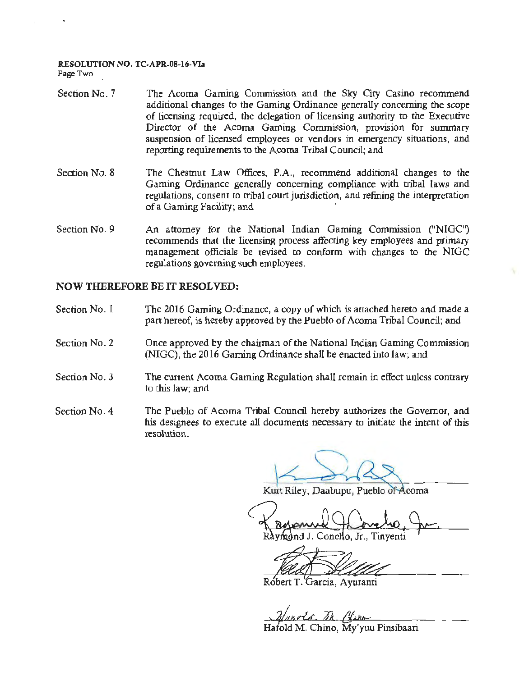# RESOLUTION NO. TC·APR-08-16-Vla

Page Two

- Section No. 7 The Acoma Gaming Commission and the Sky City Casino recommend additional changes to the Gaming Ordinance generally concerning the scope of licensing required, the delegation of licensing authority to the Executive Director of the Acoma Gaming Commission, provision for summary suspension of licensed employees or vendors in emergency situations, and reporting requirements to the Acoma Tribal Council; and
- Section No. 8 The Chestnut Law Offices, P.A., recommend additional changes to the Gaming Ordinance generally concerning compliance with tribal laws and regulations, consent to tribal court jurisdiction, and refining the interpretation of a Gaming Facility; and ·
- Section No. 9 An attorney for the National Indian Gaming Commission ("NIGC") recommends that the licensing process affecting key employees and primary management officials be revised to conform with changes to the NIGC regulations governing such employees.

#### NOW THEREFORE BE IT RESOLVED:

- Section No. 1 The 2016 Gaming Ordinance, a copy of which is attached hereto and made a part hereof, is hereby approved by the Pueblo of Acoma Tribal Council; and
- Section No. 2 Once approved by the chairman of the National Indian Gaming Commission (NIGC), the 2016 Gaming Ordinance shall be enacted into law; and
- Section No. 3 The current Acoma Gaming Regulation shall remain in effect unless contrary to this law; and
- Section No. 4 The Pueblo of Acoma Tribal Council hereby authorizes the Governor, and his designees to execute all documents necessary to initiate the intent of this resolution.

Kurt Riley, Daabupu, Pueblo of Acoma

o. Jr.. Tinventi

Robert T. Garcia, Avuranti

Hafold M. Chino. My'yuu Pinsibaari